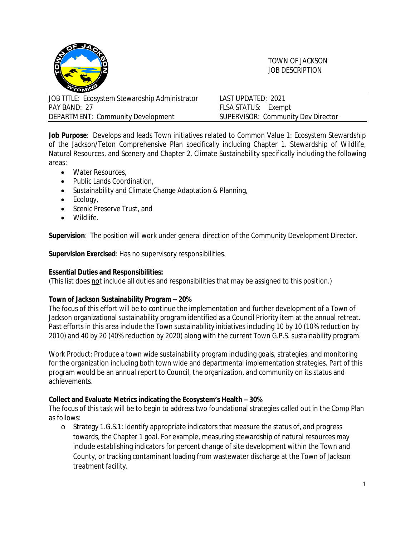

TOWN OF JACKSON JOB DESCRIPTION

| JOB TITLE: Ecosystem Stewardship Administrator | LAST UPDATED: 2021                 |
|------------------------------------------------|------------------------------------|
| PAY BAND: 27                                   | FLSA STATUS: Exempt                |
| DEPARTMENT: Community Development              | SUPERVISOR: Community Dev Director |

**Job Purpose**: Develops and leads Town initiatives related to Common Value 1: Ecosystem Stewardship of the Jackson/Teton Comprehensive Plan specifically including Chapter 1. Stewardship of Wildlife, Natural Resources, and Scenery and Chapter 2. Climate Sustainability specifically including the following areas:

- Water Resources,
- Public Lands Coordination,
- Sustainability and Climate Change Adaptation & Planning,
- $\bullet$  Ecology,
- Scenic Preserve Trust, and
- Wildlife.

**Supervision**: The position will work under general direction of the Community Development Director.

**Supervision Exercised**: Has no supervisory responsibilities.

### **Essential Duties and Responsibilities:**

(This list does not include all duties and responsibilities that may be assigned to this position.)

# **Town of Jackson Sustainability Program – 20%**

The focus of this effort will be to continue the implementation and further development of a Town of Jackson organizational sustainability program identified as a Council Priority item at the annual retreat. Past efforts in this area include the Town sustainability initiatives including 10 by 10 (10% reduction by 2010) and 40 by 20 (40% reduction by 2020) along with the current Town G.P.S. sustainability program.

*Work Product*: Produce a town wide sustainability program including goals, strategies, and monitoring for the organization including both town wide and departmental implementation strategies. Part of this program would be an annual report to Council, the organization, and community on its status and achievements.

### **Collect and Evaluate Metrics indicating the Ecosystem's Health – 30%**

The focus of this task will be to begin to address two foundational strategies called out in the Comp Plan as follows:

o Strategy 1.G.S.1: Identify appropriate indicators that measure the status of, and progress towards, the Chapter 1 goal. For example, measuring stewardship of natural resources may include establishing indicators for percent change of site development within the Town and County, or tracking contaminant loading from wastewater discharge at the Town of Jackson treatment facility.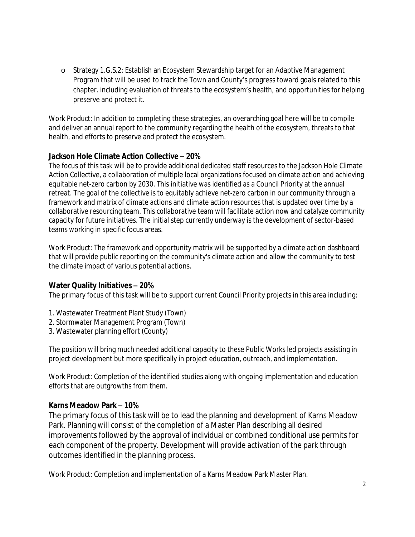o Strategy 1.G.S.2: Establish an Ecosystem Stewardship target for an Adaptive Management Program that will be used to track the Town and County's progress toward goals related to this chapter. including evaluation of threats to the ecosystem's health, and opportunities for helping preserve and protect it.

*Work Product:* In addition to completing these strategies, an overarching goal here will be to compile and deliver an annual report to the community regarding the health of the ecosystem, threats to that health, and efforts to preserve and protect the ecosystem.

# **Jackson Hole Climate Action Collective – 20%**

The focus of this task will be to provide additional dedicated staff resources to the Jackson Hole Climate Action Collective, a collaboration of multiple local organizations focused on climate action and achieving equitable net-zero carbon by 2030. This initiative was identified as a Council Priority at the annual retreat. The goal of the collective is to equitably achieve net-zero carbon in our community through a framework and matrix of climate actions and climate action resources that is updated over time by a collaborative resourcing team. This collaborative team will facilitate action now and catalyze community capacity for future initiatives. The initial step currently underway is the development of sector-based teams working in specific focus areas.

*Work Product:* The framework and opportunity matrix will be supported by a climate action dashboard that will provide public reporting on the community's climate action and allow the community to test the climate impact of various potential actions.

# **Water Quality Initiatives – 20%**

The primary focus of this task will be to support current Council Priority projects in this area including:

- 1. Wastewater Treatment Plant Study (Town)
- 2. Stormwater Management Program (Town)
- 3. Wastewater planning effort (County)

The position will bring much needed additional capacity to these Public Works led projects assisting in project development but more specifically in project education, outreach, and implementation.

*Work Product:* Completion of the identified studies along with ongoing implementation and education efforts that are outgrowths from them.

# **Karns Meadow Park – 10%**

The primary focus of this task will be to lead the planning and development of Karns Meadow Park. Planning will consist of the completion of a Master Plan describing all desired improvements followed by the approval of individual or combined conditional use permits for each component of the property. Development will provide activation of the park through outcomes identified in the planning process.

*Work Product:* Completion and implementation of a Karns Meadow Park Master Plan.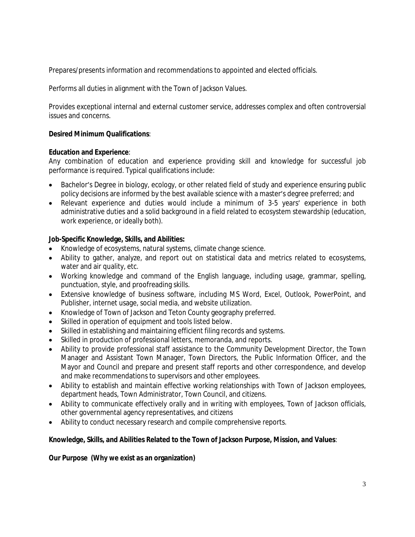Prepares/presents information and recommendations to appointed and elected officials.

Performs all duties in alignment with the Town of Jackson Values.

Provides exceptional internal and external customer service, addresses complex and often controversial issues and concerns.

## **Desired Minimum Qualifications**:

### **Education and Experience**:

Any combination of education and experience providing skill and knowledge for successful job performance is required. Typical qualifications include:

- Bachelor's Degree in biology, ecology, or other related field of study and experience ensuring public policy decisions are informed by the best available science with a master's degree preferred; and
- Relevant experience and duties would include a minimum of 3-5 years' experience in both administrative duties and a solid background in a field related to ecosystem stewardship (education, work experience, or ideally both).

## **Job-Specific Knowledge, Skills, and Abilities:**

- Knowledge of ecosystems, natural systems, climate change science.
- Ability to gather, analyze, and report out on statistical data and metrics related to ecosystems, water and air quality, etc.
- Working knowledge and command of the English language, including usage, grammar, spelling, punctuation, style, and proofreading skills.
- Extensive knowledge of business software, including MS Word, Excel, Outlook, PowerPoint, and Publisher, internet usage, social media, and website utilization.
- Knowledge of Town of Jackson and Teton County geography preferred.
- Skilled in operation of equipment and tools listed below.
- Skilled in establishing and maintaining efficient filing records and systems.
- Skilled in production of professional letters, memoranda, and reports.
- Ability to provide professional staff assistance to the Community Development Director, the Town Manager and Assistant Town Manager, Town Directors, the Public Information Officer, and the Mayor and Council and prepare and present staff reports and other correspondence, and develop and make recommendations to supervisors and other employees.
- Ability to establish and maintain effective working relationships with Town of Jackson employees, department heads, Town Administrator, Town Council, and citizens.
- Ability to communicate effectively orally and in writing with employees, Town of Jackson officials, other governmental agency representatives, and citizens
- Ability to conduct necessary research and compile comprehensive reports.

### **Knowledge, Skills, and Abilities Related to the Town of Jackson Purpose, Mission, and Values**:

### **Our Purpose (Why we exist as an organization)**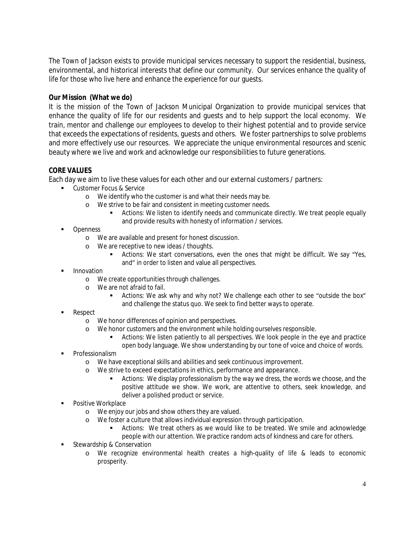The Town of Jackson exists to provide municipal services necessary to support the residential, business, environmental, and historical interests that define our community. Our services enhance the quality of life for those who live here and enhance the experience for our guests.

## **Our Mission (What we do)**

It is the mission of the Town of Jackson Municipal Organization to provide municipal services that enhance the quality of life for our residents and guests and to help support the local economy. We train, mentor and challenge our employees to develop to their highest potential and to provide service that exceeds the expectations of residents, guests and others. We foster partnerships to solve problems and more effectively use our resources. We appreciate the unique environmental resources and scenic beauty where we live and work and acknowledge our responsibilities to future generations.

### **CORE VALUES**

Each day we aim to live these values for each other and our external customers / partners:

- **Customer Focus & Service** 
	- o We identify who the customer is and what their needs may be.
	- o We strive to be fair and consistent in meeting customer needs.
		- Actions: We listen to identify needs and communicate directly. We treat people equally and provide results with honesty of information / services.
- Openness
	- o We are available and present for honest discussion.
	- o We are receptive to new ideas / thoughts.
		- Actions: We start conversations, even the ones that might be difficult. We say "Yes, and" in order to listen and value all perspectives.
- Innovation
	- o We create opportunities through challenges.
	- o We are not afraid to fail.
		- Actions: We ask why and why not? We challenge each other to see "outside the box" and challenge the status quo. We seek to find better ways to operate.
- Respect
	- o We honor differences of opinion and perspectives.
	- o We honor customers and the environment while holding ourselves responsible.
		- Actions: We listen patiently to all perspectives. We look people in the eye and practice open body language. We show understanding by our tone of voice and choice of words.
- Professionalism
	- o We have exceptional skills and abilities and seek continuous improvement.
	- o We strive to exceed expectations in ethics, performance and appearance.
		- Actions: We display professionalism by the way we dress, the words we choose, and the positive attitude we show. We work, are attentive to others, seek knowledge, and deliver a polished product or service.
- Positive Workplace
	- o We enjoy our jobs and show others they are valued.
	- o We foster a culture that allows individual expression through participation.
		- Actions: We treat others as we would like to be treated. We smile and acknowledge people with our attention. We practice random acts of kindness and care for others.
- **Stewardship & Conservation** 
	- o We recognize environmental health creates a high-quality of life & leads to economic prosperity.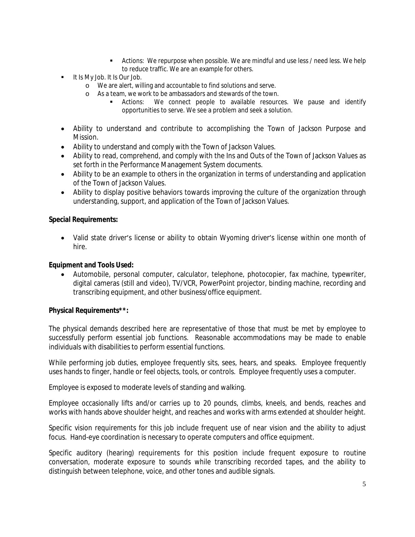- Actions: We repurpose when possible. We are mindful and use less / need less. We help to reduce traffic. We are an example for others.
- **It Is My Job. It Is Our Job.** 
	- o We are alert, willing and accountable to find solutions and serve.
	- o As a team, we work to be ambassadors and stewards of the town.
		- Actions: We connect people to available resources. We pause and identify opportunities to serve. We see a problem and seek a solution.
- Ability to understand and contribute to accomplishing the Town of Jackson Purpose and Mission.
- Ability to understand and comply with the Town of Jackson Values.
- Ability to read, comprehend, and comply with the Ins and Outs of the Town of Jackson Values as set forth in the Performance Management System documents.
- Ability to be an example to others in the organization in terms of understanding and application of the Town of Jackson Values.
- Ability to display positive behaviors towards improving the culture of the organization through understanding, support, and application of the Town of Jackson Values.

#### **Special Requirements:**

• Valid state driver's license or ability to obtain Wyoming driver's license within one month of hire.

#### **Equipment and Tools Used:**

 Automobile, personal computer, calculator, telephone, photocopier, fax machine, typewriter, digital cameras (still and video), TV/VCR, PowerPoint projector, binding machine, recording and transcribing equipment, and other business/office equipment.

### **Physical Requirements\*\*:**

The physical demands described here are representative of those that must be met by employee to successfully perform essential job functions. Reasonable accommodations may be made to enable individuals with disabilities to perform essential functions.

While performing job duties, employee frequently sits, sees, hears, and speaks. Employee frequently uses hands to finger, handle or feel objects, tools, or controls. Employee frequently uses a computer.

Employee is exposed to moderate levels of standing and walking.

Employee occasionally lifts and/or carries up to 20 pounds, climbs, kneels, and bends, reaches and works with hands above shoulder height, and reaches and works with arms extended at shoulder height.

Specific vision requirements for this job include frequent use of near vision and the ability to adjust focus. Hand-eye coordination is necessary to operate computers and office equipment.

Specific auditory (hearing) requirements for this position include frequent exposure to routine conversation, moderate exposure to sounds while transcribing recorded tapes, and the ability to distinguish between telephone, voice, and other tones and audible signals.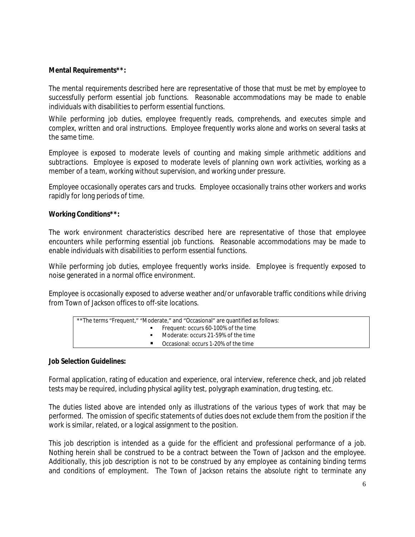### **Mental Requirements\*\*:**

The mental requirements described here are representative of those that must be met by employee to successfully perform essential job functions. Reasonable accommodations may be made to enable individuals with disabilities to perform essential functions.

While performing job duties, employee frequently reads, comprehends, and executes simple and complex, written and oral instructions. Employee frequently works alone and works on several tasks at the same time.

Employee is exposed to moderate levels of counting and making simple arithmetic additions and subtractions. Employee is exposed to moderate levels of planning own work activities, working as a member of a team, working without supervision, and working under pressure.

Employee occasionally operates cars and trucks. Employee occasionally trains other workers and works rapidly for long periods of time.

#### **Working Conditions\*\*:**

The work environment characteristics described here are representative of those that employee encounters while performing essential job functions. Reasonable accommodations may be made to enable individuals with disabilities to perform essential functions.

While performing job duties, employee frequently works inside. Employee is frequently exposed to noise generated in a normal office environment.

Employee is occasionally exposed to adverse weather and/or unfavorable traffic conditions while driving from Town of Jackson offices to off-site locations.

| **The terms "Frequent," "Moderate," and "Occasional" are quantified as follows: |                                        |  |  |
|---------------------------------------------------------------------------------|----------------------------------------|--|--|
|                                                                                 | ■ Frequent: occurs 60-100% of the time |  |  |
|                                                                                 | • Moderate: occurs 21-59% of the time  |  |  |
|                                                                                 | ■ Occasional: occurs 1-20% of the time |  |  |
|                                                                                 |                                        |  |  |

#### **Job Selection Guidelines:**

Formal application, rating of education and experience, oral interview, reference check, and job related tests may be required, including physical agility test, polygraph examination, drug testing, etc.

The duties listed above are intended only as illustrations of the various types of work that may be performed. The omission of specific statements of duties does not exclude them from the position if the work is similar, related, or a logical assignment to the position.

This job description is intended as a guide for the efficient and professional performance of a job. Nothing herein shall be construed to be a contract between the Town of Jackson and the employee. Additionally, this job description is not to be construed by any employee as containing binding terms and conditions of employment. The Town of Jackson retains the absolute right to terminate any